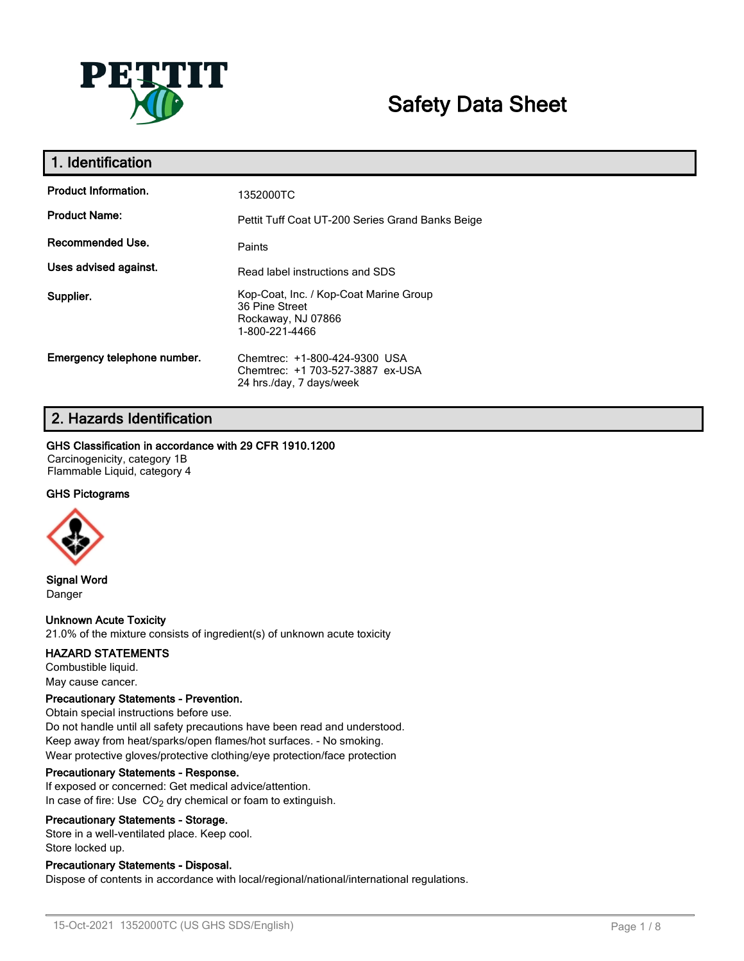

# **Safety Data Sheet**

| 1. Identification           |                                                                                                  |
|-----------------------------|--------------------------------------------------------------------------------------------------|
| <b>Product Information.</b> | 1352000TC                                                                                        |
| <b>Product Name:</b>        | Pettit Tuff Coat UT-200 Series Grand Banks Beige                                                 |
| Recommended Use.            | Paints                                                                                           |
| Uses advised against.       | Read label instructions and SDS                                                                  |
| Supplier.                   | Kop-Coat, Inc. / Kop-Coat Marine Group<br>36 Pine Street<br>Rockaway, NJ 07866<br>1-800-221-4466 |
| Emergency telephone number. | Chemtrec: +1-800-424-9300 USA<br>Chemtrec: +1 703-527-3887 ex-USA<br>24 hrs./day, 7 days/week    |

### **2. Hazards Identification**

### **GHS Classification in accordance with 29 CFR 1910.1200**

Carcinogenicity, category 1B Flammable Liquid, category 4

### **GHS Pictograms**



**Signal Word** Danger

### **Unknown Acute Toxicity**

21.0% of the mixture consists of ingredient(s) of unknown acute toxicity

### **HAZARD STATEMENTS**

Combustible liquid. May cause cancer.

### **Precautionary Statements - Prevention.**

Obtain special instructions before use. Do not handle until all safety precautions have been read and understood. Keep away from heat/sparks/open flames/hot surfaces. - No smoking. Wear protective gloves/protective clothing/eye protection/face protection

### **Precautionary Statements - Response.**

If exposed or concerned: Get medical advice/attention. In case of fire: Use  $CO<sub>2</sub>$  dry chemical or foam to extinguish.

### **Precautionary Statements - Storage.**

Store in a well-ventilated place. Keep cool. Store locked up.

### **Precautionary Statements - Disposal.**

Dispose of contents in accordance with local/regional/national/international regulations.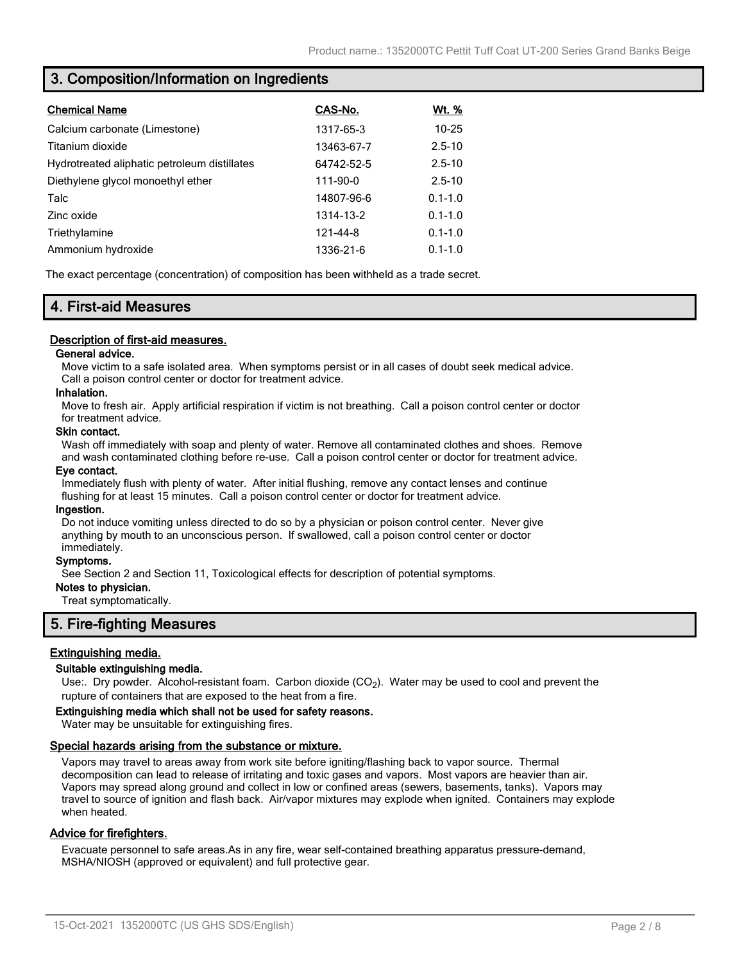### **3. Composition/Information on Ingredients**

| <b>Chemical Name</b>                         | CAS-No.    | <u>Wt. %</u> |
|----------------------------------------------|------------|--------------|
| Calcium carbonate (Limestone)                | 1317-65-3  | $10 - 25$    |
| Titanium dioxide                             | 13463-67-7 | $2.5 - 10$   |
| Hydrotreated aliphatic petroleum distillates | 64742-52-5 | $2.5 - 10$   |
| Diethylene glycol monoethyl ether            | 111-90-0   | $2.5 - 10$   |
| Talc                                         | 14807-96-6 | $0.1 - 1.0$  |
| Zinc oxide                                   | 1314-13-2  | $0.1 - 1.0$  |
| Triethylamine                                | 121-44-8   | $0.1 - 1.0$  |
| Ammonium hydroxide                           | 1336-21-6  | $0.1 - 1.0$  |

The exact percentage (concentration) of composition has been withheld as a trade secret.

### **4. First-aid Measures**

### **Description of first-aid measures.**

### **General advice.**

Move victim to a safe isolated area. When symptoms persist or in all cases of doubt seek medical advice. Call a poison control center or doctor for treatment advice.

### **Inhalation.**

Move to fresh air. Apply artificial respiration if victim is not breathing. Call a poison control center or doctor for treatment advice.

#### **Skin contact.**

Wash off immediately with soap and plenty of water. Remove all contaminated clothes and shoes. Remove and wash contaminated clothing before re-use. Call a poison control center or doctor for treatment advice.

### **Eye contact.**

Immediately flush with plenty of water. After initial flushing, remove any contact lenses and continue flushing for at least 15 minutes. Call a poison control center or doctor for treatment advice.

#### **Ingestion.**

Do not induce vomiting unless directed to do so by a physician or poison control center. Never give anything by mouth to an unconscious person. If swallowed, call a poison control center or doctor immediately.

#### **Symptoms.**

See Section 2 and Section 11, Toxicological effects for description of potential symptoms.

### **Notes to physician.**

Treat symptomatically.

### **5. Fire-fighting Measures**

### **Extinguishing media.**

### **Suitable extinguishing media.**

Use:. Dry powder. Alcohol-resistant foam. Carbon dioxide (CO<sub>2</sub>). Water may be used to cool and prevent the rupture of containers that are exposed to the heat from a fire.

#### **Extinguishing media which shall not be used for safety reasons.**

Water may be unsuitable for extinguishing fires.

### **Special hazards arising from the substance or mixture.**

Vapors may travel to areas away from work site before igniting/flashing back to vapor source. Thermal decomposition can lead to release of irritating and toxic gases and vapors. Most vapors are heavier than air. Vapors may spread along ground and collect in low or confined areas (sewers, basements, tanks). Vapors may travel to source of ignition and flash back. Air/vapor mixtures may explode when ignited. Containers may explode when heated.

### **Advice for firefighters.**

Evacuate personnel to safe areas.As in any fire, wear self-contained breathing apparatus pressure-demand, MSHA/NIOSH (approved or equivalent) and full protective gear.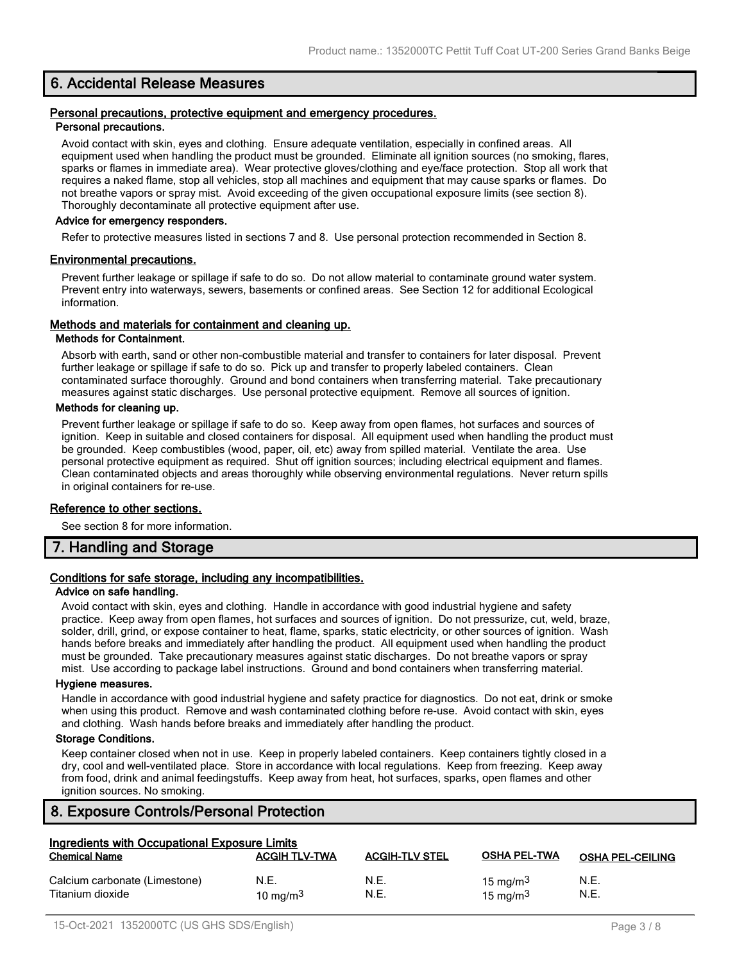### **6. Accidental Release Measures**

#### **Personal precautions, protective equipment and emergency procedures. Personal precautions.**

Avoid contact with skin, eyes and clothing. Ensure adequate ventilation, especially in confined areas. All equipment used when handling the product must be grounded. Eliminate all ignition sources (no smoking, flares, sparks or flames in immediate area). Wear protective gloves/clothing and eye/face protection. Stop all work that requires a naked flame, stop all vehicles, stop all machines and equipment that may cause sparks or flames. Do not breathe vapors or spray mist. Avoid exceeding of the given occupational exposure limits (see section 8). Thoroughly decontaminate all protective equipment after use.

### **Advice for emergency responders.**

Refer to protective measures listed in sections 7 and 8. Use personal protection recommended in Section 8.

### **Environmental precautions.**

Prevent further leakage or spillage if safe to do so. Do not allow material to contaminate ground water system. Prevent entry into waterways, sewers, basements or confined areas. See Section 12 for additional Ecological information.

### **Methods and materials for containment and cleaning up.**

### **Methods for Containment.**

Absorb with earth, sand or other non-combustible material and transfer to containers for later disposal. Prevent further leakage or spillage if safe to do so. Pick up and transfer to properly labeled containers. Clean contaminated surface thoroughly. Ground and bond containers when transferring material. Take precautionary measures against static discharges. Use personal protective equipment. Remove all sources of ignition.

### **Methods for cleaning up.**

Prevent further leakage or spillage if safe to do so. Keep away from open flames, hot surfaces and sources of ignition. Keep in suitable and closed containers for disposal. All equipment used when handling the product must be grounded. Keep combustibles (wood, paper, oil, etc) away from spilled material. Ventilate the area. Use personal protective equipment as required. Shut off ignition sources; including electrical equipment and flames. Clean contaminated objects and areas thoroughly while observing environmental regulations. Never return spills in original containers for re-use.

### **Reference to other sections.**

See section 8 for more information.

### **7. Handling and Storage**

### **Conditions for safe storage, including any incompatibilities.**

### **Advice on safe handling.**

Avoid contact with skin, eyes and clothing. Handle in accordance with good industrial hygiene and safety practice. Keep away from open flames, hot surfaces and sources of ignition. Do not pressurize, cut, weld, braze, solder, drill, grind, or expose container to heat, flame, sparks, static electricity, or other sources of ignition. Wash hands before breaks and immediately after handling the product. All equipment used when handling the product must be grounded. Take precautionary measures against static discharges. Do not breathe vapors or spray mist. Use according to package label instructions. Ground and bond containers when transferring material.

### **Hygiene measures.**

Handle in accordance with good industrial hygiene and safety practice for diagnostics. Do not eat, drink or smoke when using this product. Remove and wash contaminated clothing before re-use. Avoid contact with skin, eyes and clothing. Wash hands before breaks and immediately after handling the product.

### **Storage Conditions.**

Keep container closed when not in use. Keep in properly labeled containers. Keep containers tightly closed in a dry, cool and well-ventilated place. Store in accordance with local regulations. Keep from freezing. Keep away from food, drink and animal feedingstuffs. Keep away from heat, hot surfaces, sparks, open flames and other ignition sources. No smoking.

### **8. Exposure Controls/Personal Protection**

| Ingredients with Occupational Exposure Limits     |                      |                       |                            |                         |
|---------------------------------------------------|----------------------|-----------------------|----------------------------|-------------------------|
| <b>Chemical Name</b>                              | <b>ACGIH TLV-TWA</b> | <b>ACGIH-TLV STEL</b> | <b>OSHA PEL-TWA</b>        | <b>OSHA PEL-CEILING</b> |
| Calcium carbonate (Limestone)<br>Titanium dioxide | N.E.<br>10 mg/m $3$  | N.E.<br>N.E.          | 15 mg/m $3$<br>15 mg/m $3$ | N.E.<br>N.E.            |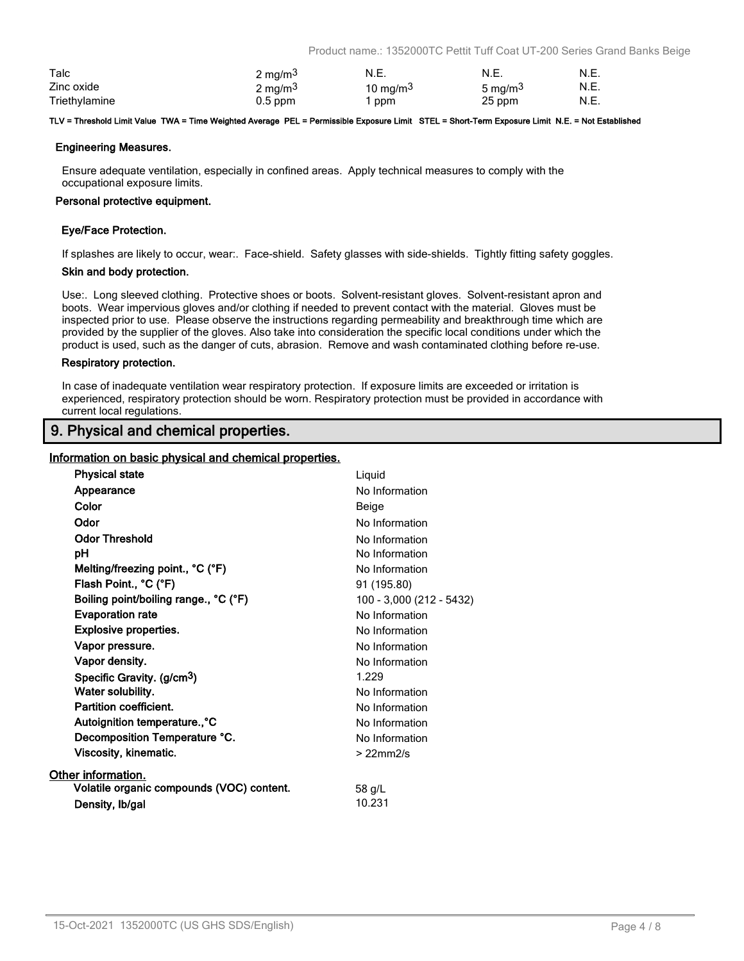Product name.: 1352000TC Pettit Tuff Coat UT-200 Series Grand Banks Beige

| Talc          | 2 mg/m <sup>3</sup> | N.E.        | N.E.                | N.E. |
|---------------|---------------------|-------------|---------------------|------|
| Zinc oxide    | 2 mg/m <sup>3</sup> | 10 mg/m $3$ | 5 mg/m <sup>3</sup> | N.E. |
| Triethylamine | $0.5$ ppm           | ppm         | 25 ppm              | N.E. |

#### **TLV = Threshold Limit Value TWA = Time Weighted Average PEL = Permissible Exposure Limit STEL = Short-Term Exposure Limit N.E. = Not Established**

### **Engineering Measures.**

Ensure adequate ventilation, especially in confined areas. Apply technical measures to comply with the occupational exposure limits.

### **Personal protective equipment.**

### **Eye/Face Protection.**

If splashes are likely to occur, wear:. Face-shield. Safety glasses with side-shields. Tightly fitting safety goggles.

### **Skin and body protection.**

Use:. Long sleeved clothing. Protective shoes or boots. Solvent-resistant gloves. Solvent-resistant apron and boots. Wear impervious gloves and/or clothing if needed to prevent contact with the material. Gloves must be inspected prior to use. Please observe the instructions regarding permeability and breakthrough time which are provided by the supplier of the gloves. Also take into consideration the specific local conditions under which the product is used, such as the danger of cuts, abrasion. Remove and wash contaminated clothing before re-use.

### **Respiratory protection.**

In case of inadequate ventilation wear respiratory protection. If exposure limits are exceeded or irritation is experienced, respiratory protection should be worn. Respiratory protection must be provided in accordance with current local regulations.

### **9. Physical and chemical properties.**

### **Information on basic physical and chemical properties.**

| <b>Physical state</b>                     | Liquid                   |
|-------------------------------------------|--------------------------|
| Appearance                                | No Information           |
| Color                                     | Beige                    |
| Odor                                      | No Information           |
| <b>Odor Threshold</b>                     | No Information           |
| рH                                        | No Information           |
| Melting/freezing point., °C (°F)          | No Information           |
| Flash Point., °C (°F)                     | 91 (195.80)              |
| Boiling point/boiling range., °C (°F)     | 100 - 3,000 (212 - 5432) |
| <b>Evaporation rate</b>                   | No Information           |
| <b>Explosive properties.</b>              | No Information           |
| Vapor pressure.                           | No Information           |
| Vapor density.                            | No Information           |
| Specific Gravity. (g/cm <sup>3</sup> )    | 1.229                    |
| Water solubility.                         | No Information           |
| Partition coefficient.                    | No Information           |
| Autoignition temperature°C                | No Information           |
| Decomposition Temperature °C.             | No Information           |
| Viscosity, kinematic.                     | $>22$ mm $2/s$           |
| Other information.                        |                          |
| Volatile organic compounds (VOC) content. | 58 g/L                   |
| Density, Ib/gal                           | 10.231                   |
|                                           |                          |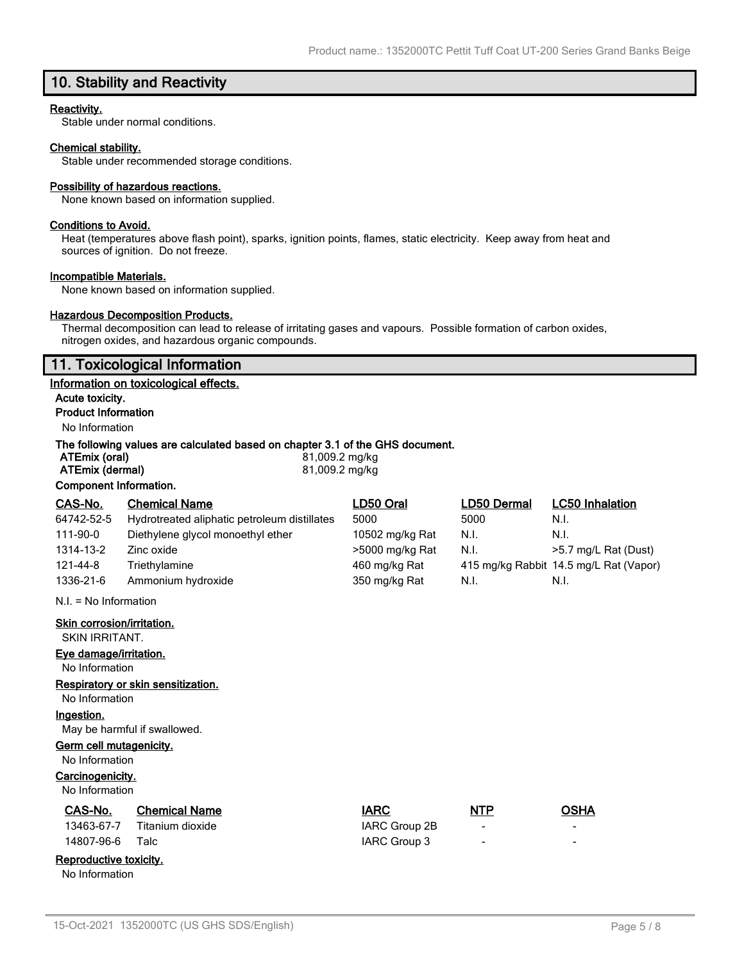## **10. Stability and Reactivity**

### **Reactivity.**

Stable under normal conditions.

#### **Chemical stability.**

Stable under recommended storage conditions.

#### **Possibility of hazardous reactions.**

None known based on information supplied.

#### **Conditions to Avoid.**

Heat (temperatures above flash point), sparks, ignition points, flames, static electricity. Keep away from heat and sources of ignition. Do not freeze.

#### **Incompatible Materials.**

None known based on information supplied.

### **Hazardous Decomposition Products.**

Thermal decomposition can lead to release of irritating gases and vapours. Possible formation of carbon oxides, nitrogen oxides, and hazardous organic compounds.

### **11. Toxicological Information**

#### **Information on toxicological effects.**

**Acute toxicity. Product Information**

### No Information

### **The following values are calculated based on chapter 3.1 of the GHS document.**

| ATEmix (oral)          | 81,009.2 mg/kg |
|------------------------|----------------|
| ATEmix (dermal)        | 81,009.2 mg/kg |
| Component Information. |                |

| CAS-No.                    | <b>Chemical Name</b>                         | LD50 Oral       | LD50 Dermal | <b>LC50 Inhalation</b>                 |
|----------------------------|----------------------------------------------|-----------------|-------------|----------------------------------------|
| 64742-52-5                 | Hydrotreated aliphatic petroleum distillates | 5000            | 5000        | N.I.                                   |
| 111-90-0                   | Diethylene glycol monoethyl ether            | 10502 mg/kg Rat | N.I.        | N.I.                                   |
| 1314-13-2                  | Zinc oxide                                   | >5000 mg/kg Rat | N.I.        | >5.7 mg/L Rat (Dust)                   |
| 121-44-8                   | Triethylamine                                | 460 mg/kg Rat   |             | 415 mg/kg Rabbit 14.5 mg/L Rat (Vapor) |
| 1336-21-6                  | Ammonium hydroxide                           | 350 mg/kg Rat   | N.I.        | N.I.                                   |
| $N.I. = No$ Information    |                                              |                 |             |                                        |
| Skin corrosion/irritation. |                                              |                 |             |                                        |
| SKIN IRRITANT.             |                                              |                 |             |                                        |
| Eye damage/irritation.     |                                              |                 |             |                                        |
| No Information             |                                              |                 |             |                                        |
|                            | Respiratory or skin sensitization.           |                 |             |                                        |
| No Information             |                                              |                 |             |                                        |

**Ingestion.**

May be harmful if swallowed.

### **Germ cell mutagenicity.**

No Information

### **Carcinogenicity.**

No Information

| <b>CAS-No.</b> | <b>Chemical Name</b> | <b>IARC</b> | <b>NTP</b> | OSHA |
|----------------|----------------------|-------------|------------|------|
|                |                      |             |            |      |

|                 | 13463-67-7 Titanium dioxide | IARC Group 2B |
|-----------------|-----------------------------|---------------|
| 14807-96-6 Talc |                             | IARC Group 3  |

### **Reproductive toxicity.**

No Information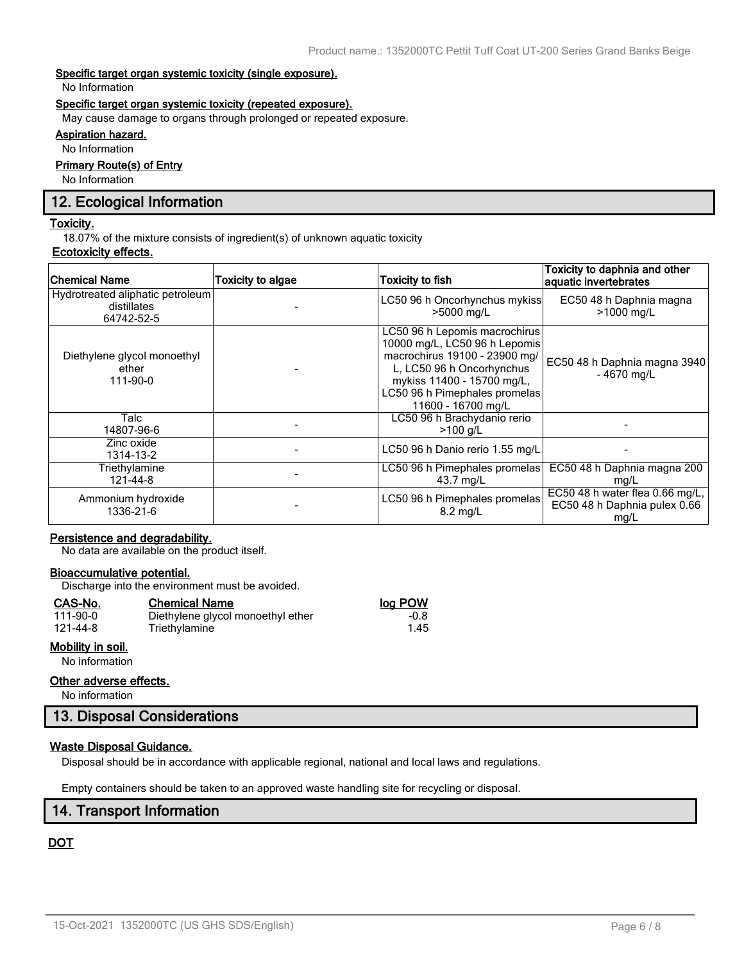### **Specific target organ systemic toxicity (single exposure).**

No Information

### **Specific target organ systemic toxicity (repeated exposure).**

May cause damage to organs through prolonged or repeated exposure.

### **Aspiration hazard.**

No Information

### **Primary Route(s) of Entry**

No Information

### **12. Ecological Information**

#### **Toxicity.**

18.07% of the mixture consists of ingredient(s) of unknown aquatic toxicity

### **Ecotoxicity effects.**

| <b>Chemical Name</b>                                          | <b>Toxicity to algae</b> | <b>Toxicity to fish</b>                                                                                                                                                                                           | Toxicity to daphnia and other<br>aquatic invertebrates                  |
|---------------------------------------------------------------|--------------------------|-------------------------------------------------------------------------------------------------------------------------------------------------------------------------------------------------------------------|-------------------------------------------------------------------------|
| Hydrotreated aliphatic petroleum<br>distillates<br>64742-52-5 |                          | LC50 96 h Oncorhynchus mykiss<br>>5000 mg/L                                                                                                                                                                       | EC50 48 h Daphnia magna<br>>1000 mg/L                                   |
| Diethylene glycol monoethyl<br>ether<br>111-90-0              |                          | LC50 96 h Lepomis macrochirus<br>10000 mg/L, LC50 96 h Lepomis<br>macrochirus 19100 - 23900 mg/<br>L, LC50 96 h Oncorhynchus<br>mykiss 11400 - 15700 mg/L,<br>LC50 96 h Pimephales promelas<br>11600 - 16700 mg/L | EC50 48 h Daphnia magna 3940<br>$-4670$ mg/L                            |
| Talc<br>14807-96-6                                            |                          | LC50 96 h Brachydanio rerio<br>$>100$ g/L                                                                                                                                                                         |                                                                         |
| Zinc oxide<br>1314-13-2                                       |                          | LC50 96 h Danio rerio 1.55 mg/L                                                                                                                                                                                   |                                                                         |
| Triethylamine<br>121-44-8                                     |                          | LC50 96 h Pimephales promelas<br>43.7 mg/L                                                                                                                                                                        | EC50 48 h Daphnia magna 200<br>mg/L                                     |
| Ammonium hydroxide<br>1336-21-6                               |                          | LC50 96 h Pimephales promelas<br>$8.2 \text{ mg/L}$                                                                                                                                                               | EC50 48 h water flea 0.66 mg/L,<br>EC50 48 h Daphnia pulex 0.66<br>mg/L |

### **Persistence and degradability.**

No data are available on the product itself.

### **Bioaccumulative potential.**

Discharge into the environment must be avoided.

Triethylamine

### **CAS-No. Chemical Name log POW**

| 111-90-0 |  |
|----------|--|
| 121-44-8 |  |

### **Mobility in soil.**

No information

### **Other adverse effects.**

No information

### **13. Disposal Considerations**

### **Waste Disposal Guidance.**

Disposal should be in accordance with applicable regional, national and local laws and regulations.

Empty containers should be taken to an approved waste handling site for recycling or disposal.

### **14. Transport Information**

### **DOT**

1.00 Diethylene glycol monoethyl ether -0.8<br>1.45 Triethylamine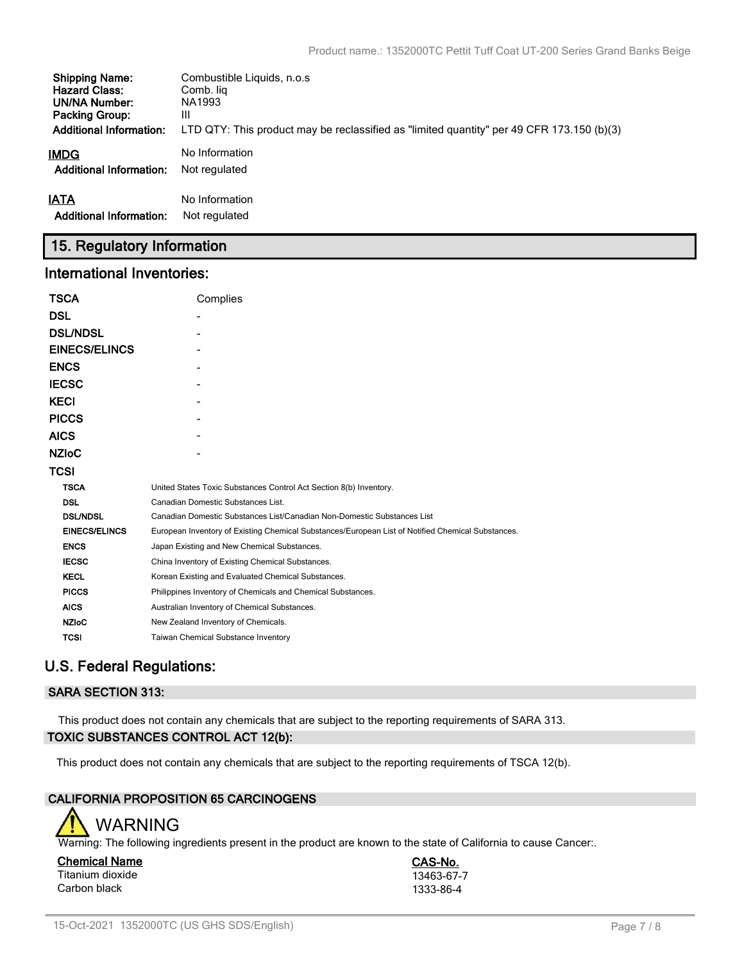| <b>Shipping Name:</b>          | Combustible Liquids, n.o.s.                                                               |
|--------------------------------|-------------------------------------------------------------------------------------------|
| <b>Hazard Class:</b>           | Comb. lig                                                                                 |
| UN/NA Number:                  | NA1993                                                                                    |
| <b>Packing Group:</b>          | Ш                                                                                         |
| <b>Additional Information:</b> | LTD QTY: This product may be reclassified as "limited quantity" per 49 CFR 173.150 (b)(3) |
| IMDG                           | No Information                                                                            |
| <b>Additional Information:</b> | Not regulated                                                                             |
| <b>IATA</b>                    | No Information                                                                            |
| <b>Additional Information:</b> | Not regulated                                                                             |

### **15. Regulatory Information**

### **International Inventories:**

| <b>TSCA</b>          | Complies                                                                                          |  |  |  |
|----------------------|---------------------------------------------------------------------------------------------------|--|--|--|
| <b>DSL</b>           |                                                                                                   |  |  |  |
| <b>DSL/NDSL</b>      |                                                                                                   |  |  |  |
| <b>EINECS/ELINCS</b> |                                                                                                   |  |  |  |
| <b>ENCS</b>          |                                                                                                   |  |  |  |
| <b>IECSC</b>         |                                                                                                   |  |  |  |
| <b>KECI</b>          |                                                                                                   |  |  |  |
| <b>PICCS</b>         |                                                                                                   |  |  |  |
| <b>AICS</b>          |                                                                                                   |  |  |  |
| <b>NZIOC</b>         |                                                                                                   |  |  |  |
| <b>TCSI</b>          |                                                                                                   |  |  |  |
| <b>TSCA</b>          | United States Toxic Substances Control Act Section 8(b) Inventory.                                |  |  |  |
| <b>DSL</b>           | Canadian Domestic Substances List.                                                                |  |  |  |
| <b>DSL/NDSL</b>      | Canadian Domestic Substances List/Canadian Non-Domestic Substances List                           |  |  |  |
| <b>EINECS/ELINCS</b> | European Inventory of Existing Chemical Substances/European List of Notified Chemical Substances. |  |  |  |
| <b>ENCS</b>          | Japan Existing and New Chemical Substances.                                                       |  |  |  |
| <b>IECSC</b>         | China Inventory of Existing Chemical Substances.                                                  |  |  |  |
| <b>KECL</b>          | Korean Existing and Evaluated Chemical Substances.                                                |  |  |  |
| <b>PICCS</b>         | Philippines Inventory of Chemicals and Chemical Substances.                                       |  |  |  |
| <b>AICS</b>          | Australian Inventory of Chemical Substances.                                                      |  |  |  |
| <b>NZIoC</b>         | New Zealand Inventory of Chemicals.                                                               |  |  |  |
| <b>TCSI</b>          | Taiwan Chemical Substance Inventory                                                               |  |  |  |

## **U.S. Federal Regulations:**

### **SARA SECTION 313:**

This product does not contain any chemicals that are subject to the reporting requirements of SARA 313. **TOXIC SUBSTANCES CONTROL ACT 12(b):**

This product does not contain any chemicals that are subject to the reporting requirements of TSCA 12(b).

### **CALIFORNIA PROPOSITION 65 CARCINOGENS**



Warning: The following ingredients present in the product are known to the state of California to cause Cancer:.

**Chemical Name CAS-No.** Titanium dioxide 13463-67-7<br>Carbon black 1333-86-4 Carbon black